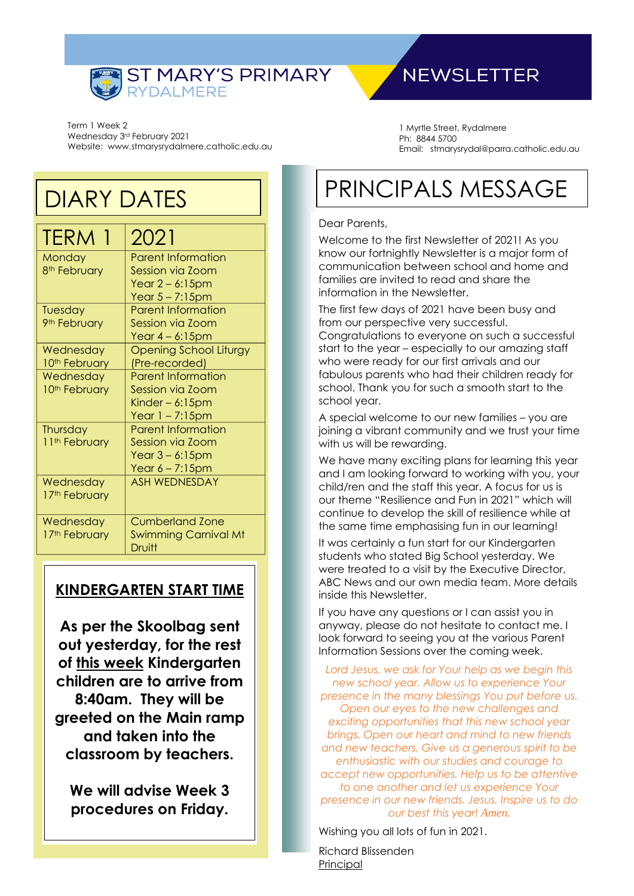

## **NEWSLETTER**

Term 1 Week 2 Wednesday 3rd February 2021 Website: www.stmarysrydalmere.catholic.edu.au

DIARY DATES

| <b>TERM 1</b>             | 2021                                  |
|---------------------------|---------------------------------------|
| Monday                    | <b>Parent Information</b>             |
| 8 <sup>th</sup> February  | Session via Zoom                      |
|                           | Year $2 - 6:15$ pm                    |
|                           | Year $5 - 7:15$ pm                    |
| Tuesday                   | <b>Parent Information</b>             |
| 9 <sup>th</sup> February  | Session via Zoom                      |
|                           | Year $4-6:15$ pm                      |
| Wednesday                 | Opening School Liturgy                |
| 10 <sup>th</sup> February | (Pre-recorded)                        |
| Wednesday                 | <b>Parent Information</b>             |
| 10 <sup>th</sup> February | Session via Zoom                      |
|                           | Kinder $-6:15$ pm                     |
|                           | Year 1 – 7:15pm                       |
| Thursday                  | <b>Parent Information</b>             |
| 11 <sup>th</sup> February | Session via Zoom                      |
|                           | Year $3 - 6:15$ pm                    |
|                           | Year $6 - 7:15$ pm                    |
| Wednesday                 | <b>ASH WEDNESDAY</b>                  |
| 17 <sup>th</sup> February |                                       |
| Wednesday                 | <b>Cumberland Zone</b>                |
| 17th February             | <b>Swimming Carnival Mt</b><br>Druitt |
|                           |                                       |

### **KINDERGARTEN START TIME**

**As per the Skoolbag sent out yesterday, for the rest of this week Kindergarten children are to arrive from 8:40am. They will be greeted on the Main ramp and taken into the classroom by teachers.**

**We will advise Week 3 procedures on Friday.**

1 Myrtle Street, Rydalmere Ph: 8844 5700 Email: stmarysrydal@parra.catholic.edu.au

# PRINCIPALS MESSAGE

#### Dear Parents,

Welcome to the first Newsletter of 2021! As you know our fortnightly Newsletter is a major form of communication between school and home and families are invited to read and share the information in the Newsletter.

The first few days of 2021 have been busy and from our perspective very successful. Congratulations to everyone on such a successful start to the year – especially to our amazing staff who were ready for our first arrivals and our fabulous parents who had their children ready for school. Thank you for such a smooth start to the school year.

A special welcome to our new families – you are joining a vibrant community and we trust your time with us will be rewarding.

We have many exciting plans for learning this year and I am looking forward to working with you, your child/ren and the staff this year. A focus for us is our theme "Resilience and Fun in 2021" which will continue to develop the skill of resilience while at the same time emphasising fun in our learning!

It was certainly a fun start for our Kindergarten students who stated Big School yesterday. We were treated to a visit by the Executive Director, ABC News and our own media team. More details inside this Newsletter.

If you have any questions or I can assist you in anyway, please do not hesitate to contact me. I look forward to seeing you at the various Parent Information Sessions over the coming week.

*Lord Jesus, we ask for Your help as we begin this new school year. Allow us to experience Your presence in the many blessings You put before us. Open our eyes to the new challenges and exciting opportunities that this new school year brings. Open our heart and mind to new friends and new teachers. Give us a generous spirit to be enthusiastic with our studies and courage to accept new opportunities. Help us to be attentive to one another and let us experience Your presence in our new friends. Jesus, Inspire us to do our best this year! Amen.*

Wishing you all lots of fun in 2021.

Richard Blissenden Principal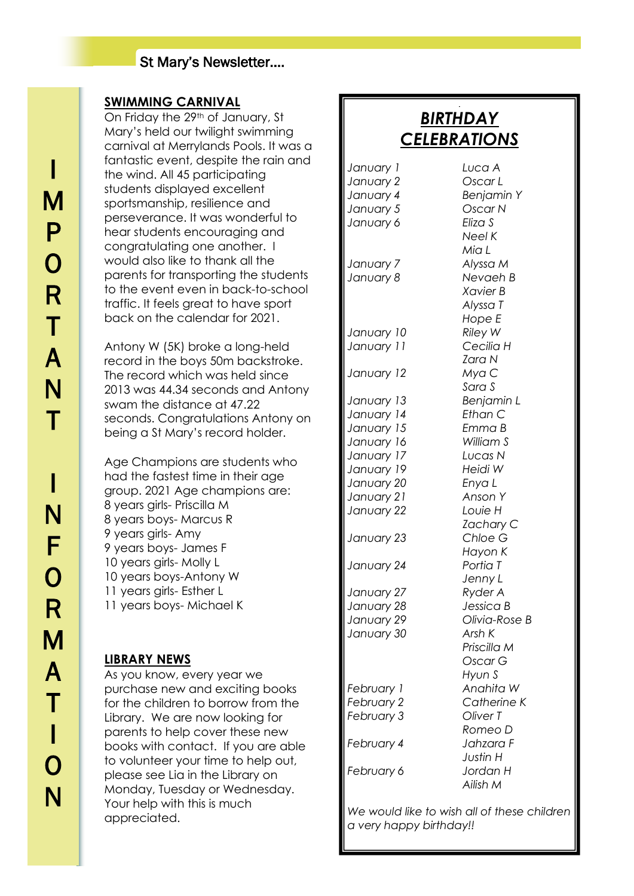#### **SWIMMING CARNIVAL**

On Friday the 29th of January, St Mary's held our twilight swimming carnival at Merrylands Pools. It was a fantastic event, despite the rain and the wind. All 45 participating students displayed excellent sportsmanship, resilience and perseverance. It was wonderful to hear students encouraging and congratulating one another. I would also like to thank all the parents for transporting the students to the event even in back-to-school traffic. It feels great to have sport back on the calendar for 2021.

Antony W (5K) broke a long-held record in the boys 50m backstroke. The record which was held since 2013 was 44.34 seconds and Antony swam the distance at 47.22 seconds. Congratulations Antony on being a St Mary's record holder.

Age Champions are students who had the fastest time in their age group. 2021 Age champions are: 8 years girls- Priscilla M 8 years boys- Marcus R 9 years girls- Amy 9 years boys- James F 10 years girls- Molly L 10 years boys-Antony W 11 years girls- Esther L 11 years boys- Michael K

### **LIBRARY NEWS**

As you know, every year we purchase new and exciting books for the children to borrow from the Library. We are now looking for parents to help cover these new books with contact. If you are able to volunteer your time to help out, please see Lia in the Library on Monday, Tuesday or Wednesday. Your help with this is much appreciated.

## *BIRTHDAY CELEBRATIONS*

J

*January 1 Luca A January 2 Oscar L January 4 Benjamin Y January 5 Oscar N January 6 Eliza S*

*January 7 Alyssa M January 8 Nevaeh B*

*January 10 Riley W January 11 Cecilia H*

*January 12 Mya C*

*January 14 Ethan C January 15 Emma B January 16 William S January 17 Lucas N January 19 Heidi W January 20 Enya L*

*January 21 Anson Y January 22 Louie H*

*January 23 Chloe G*

*January 24 Portia T*

*January 27 Ryder A January 28 Jessica B January 29 Olivia-Rose B*

*January 30 Arsh K*

*February 1 Anahita W February 2 Catherine K*

*February 6 Jordan H*

*Neel K Mia L Xavier B Alyssa T Hope E Zara N Sara S January 13 Benjamin L Zachary C Hayon K Jenny L Priscilla M Oscar G Hyun S*

*February 3 Oliver T Romeo D February 4 Jahzara F Justin H Ailish M*

*We would like to wish all of these children a very happy birthday!!*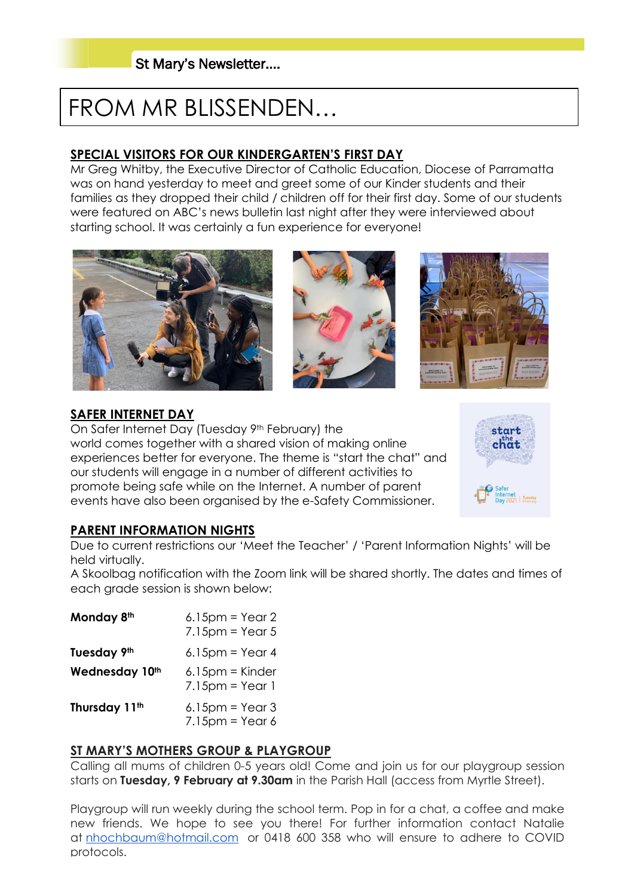# FROM MR BLISSENDEN…

#### **SPECIAL VISITORS FOR OUR KINDERGARTEN'S FIRST DAY**

Mr Greg Whitby, the Executive Director of Catholic Education, Diocese of Parramatta was on hand yesterday to meet and greet some of our Kinder students and their families as they dropped their child / children off for their first day. Some of our students were featured on ABC's news bulletin last night after they were interviewed about starting school. It was certainly a fun experience for everyone!







#### **SAFER INTERNET DAY**

On Safer Internet Day (Tuesday 9th February) the world comes together with a shared vision of making online experiences better for everyone. The theme is "start the chat" and our students will engage in a number of different activities to promote being safe while on the Internet. A number of parent events have also been organised by the e-Safety Commissioner.



#### **PARENT INFORMATION NIGHTS**

Due to current restrictions our 'Meet the Teacher' / 'Parent Information Nights' will be held virtually.

A Skoolbag notification with the Zoom link will be shared shortly. The dates and times of each grade session is shown below:

| Monday 8th                | $6.15$ pm = Year 2<br>$7.15$ pm = Year 5                              |
|---------------------------|-----------------------------------------------------------------------|
| Tuesday 9th               | $6.15$ pm = Year 4                                                    |
| Wednesday 10th            | $6.15$ pm = Kinder<br>$7.15 \text{pm} = \text{Year}$                  |
| Thursday 11 <sup>th</sup> | $6.15 \text{pm} = \text{Year} 3$<br>$7.15 \text{pm} = \text{Year } 6$ |

#### **ST MARY'S MOTHERS GROUP & PLAYGROUP**

Calling all mums of children 0-5 years old! Come and join us for our playgroup session starts on **Tuesday, 9 February at 9.30am** in the Parish Hall (access from Myrtle Street).

Playgroup will run weekly during the school term. Pop in for a chat, a coffee and make new friends. We hope to see you there! For further information contact Natalie at [nhochbaum@hotmail.com](mailto:nhochbaum@hotmail.com) or 0418 600 358 who will ensure to adhere to COVID protocols.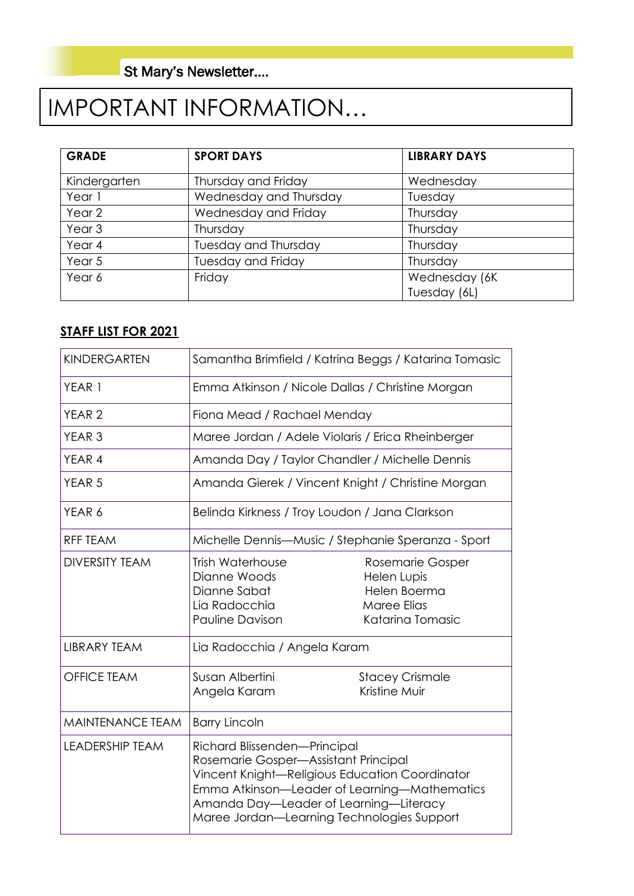# IMPORTANT INFORMATION…

| <b>GRADE</b>      | <b>SPORT DAYS</b>           | <b>LIBRARY DAYS</b> |  |
|-------------------|-----------------------------|---------------------|--|
| Kindergarten      | Thursday and Friday         | Wednesday           |  |
| Year 1            | Wednesday and Thursday      | Tuesday             |  |
| Year 2            | Wednesday and Friday        | Thursday            |  |
| Year <sub>3</sub> | Thursday                    | Thursday            |  |
| Year 4            | <b>Tuesday and Thursday</b> | Thursday            |  |
| Year 5            | <b>Tuesday and Friday</b>   | Thursday            |  |
| Year 6            | Friday                      | Wednesday (6K)      |  |
|                   |                             | Tuesday (6L)        |  |

#### **STAFF LIST FOR 2021**

| KINDERGARTEN            | Samantha Brimfield / Katrina Beggs / Katarina Tomasic                                                                                                                                                                                                          |                                                                                           |  |  |  |
|-------------------------|----------------------------------------------------------------------------------------------------------------------------------------------------------------------------------------------------------------------------------------------------------------|-------------------------------------------------------------------------------------------|--|--|--|
| YEAR 1                  | Emma Atkinson / Nicole Dallas / Christine Morgan                                                                                                                                                                                                               |                                                                                           |  |  |  |
| YEAR <sub>2</sub>       | Fiona Mead / Rachael Menday                                                                                                                                                                                                                                    |                                                                                           |  |  |  |
| YEAR <sub>3</sub>       | Maree Jordan / Adele Violaris / Erica Rheinberger                                                                                                                                                                                                              |                                                                                           |  |  |  |
| YEAR 4                  | Amanda Day / Taylor Chandler / Michelle Dennis                                                                                                                                                                                                                 |                                                                                           |  |  |  |
| YEAR <sub>5</sub>       | Amanda Gierek / Vincent Knight / Christine Morgan                                                                                                                                                                                                              |                                                                                           |  |  |  |
| YEAR 6                  | Belinda Kirkness / Troy Loudon / Jana Clarkson                                                                                                                                                                                                                 |                                                                                           |  |  |  |
| <b>RFF TEAM</b>         | Michelle Dennis—Music / Stephanie Speranza - Sport                                                                                                                                                                                                             |                                                                                           |  |  |  |
| <b>DIVERSITY TEAM</b>   | <b>Trish Waterhouse</b><br>Dianne Woods<br>Dianne Sabat<br>Lia Radocchia<br><b>Pauline Davison</b>                                                                                                                                                             | Rosemarie Gosper<br>Helen Lupis<br>Helen Boerma<br><b>Maree Elias</b><br>Katarina Tomasic |  |  |  |
| <b>LIBRARY TEAM</b>     | Lia Radocchia / Angela Karam                                                                                                                                                                                                                                   |                                                                                           |  |  |  |
| <b>OFFICE TEAM</b>      | Susan Albertini<br>Angela Karam                                                                                                                                                                                                                                | <b>Stacey Crismale</b><br>Kristine Muir                                                   |  |  |  |
| <b>MAINTENANCE TEAM</b> | <b>Barry Lincoln</b>                                                                                                                                                                                                                                           |                                                                                           |  |  |  |
| <b>LEADERSHIP TEAM</b>  | Richard Blissenden-Principal<br>Rosemarie Gosper-Assistant Principal<br>Vincent Knight-Religious Education Coordinator<br>Emma Atkinson-Leader of Learning-Mathematics<br>Amanda Day-Leader of Learning-Literacy<br>Maree Jordan-Learning Technologies Support |                                                                                           |  |  |  |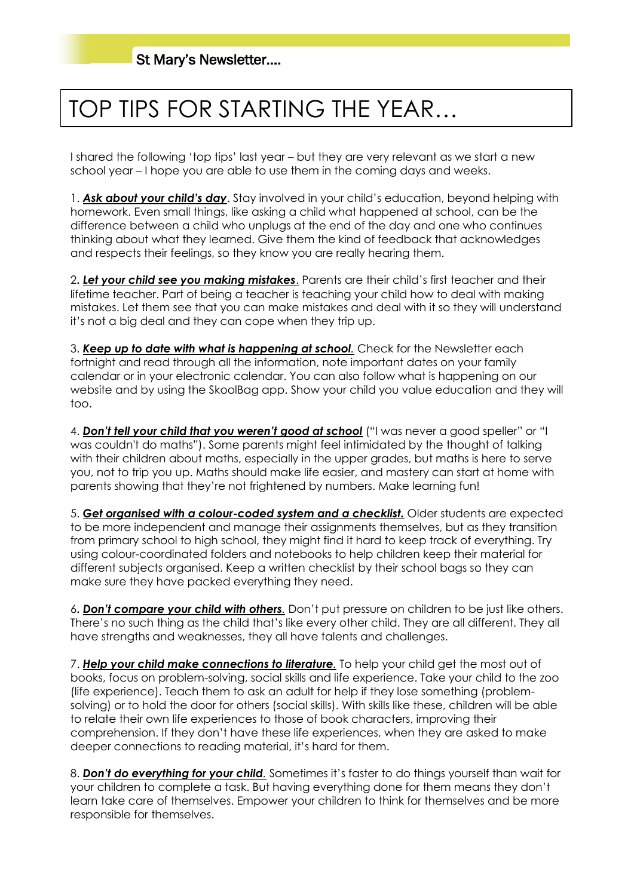# TOP TIPS FOR STARTING THE YEAR…

I shared the following 'top tips' last year – but they are very relevant as we start a new school year – I hope you are able to use them in the coming days and weeks.

1. *Ask about your child's day*. Stay involved in your child's education, beyond helping with homework. Even small things, like asking a child what happened at school, can be the difference between a child who unplugs at the end of the day and one who continues thinking about what they learned. Give them the kind of feedback that acknowledges and respects their feelings, so they know you are really hearing them.

2**.** *Let your child see you making mistakes*. Parents are their child's first teacher and their lifetime teacher. Part of being a teacher is teaching your child how to deal with making mistakes. Let them see that you can make mistakes and deal with it so they will understand it's not a big deal and they can cope when they trip up.

3. *Keep up to date with what is happening at school.* Check for the Newsletter each fortnight and read through all the information, note important dates on your family calendar or in your electronic calendar. You can also follow what is happening on our website and by using the SkoolBag app. Show your child you value education and they will too.

4. *Don't tell your child that you weren't good at school* ("I was never a good speller" or "I was couldn't do maths"). Some parents might feel intimidated by the thought of talking with their children about maths, especially in the upper grades, but maths is here to serve you, not to trip you up. Maths should make life easier, and mastery can start at home with parents showing that they're not frightened by numbers. Make learning fun!

5. *Get organised with a colour-coded system and a checklist.* Older students are expected to be more independent and manage their assignments themselves, but as they transition from primary school to high school, they might find it hard to keep track of everything. Try using colour-coordinated folders and notebooks to help children keep their material for different subjects organised. Keep a written checklist by their school bags so they can make sure they have packed everything they need.

6**.** *Don't compare your child with others.* Don't put pressure on children to be just like others. There's no such thing as the child that's like every other child. They are all different. They all have strengths and weaknesses, they all have talents and challenges.

7. *Help your child make connections to literature.* To help your child get the most out of books, focus on problem-solving, social skills and life experience. Take your child to the zoo (life experience). Teach them to ask an adult for help if they lose something (problemsolving) or to hold the door for others (social skills). With skills like these, children will be able to relate their own life experiences to those of book characters, improving their comprehension. If they don't have these life experiences, when they are asked to make deeper connections to reading material, it's hard for them.

8. *Don't do everything for your child.* Sometimes it's faster to do things yourself than wait for your children to complete a task. But having everything done for them means they don't learn take care of themselves. Empower your children to think for themselves and be more responsible for themselves.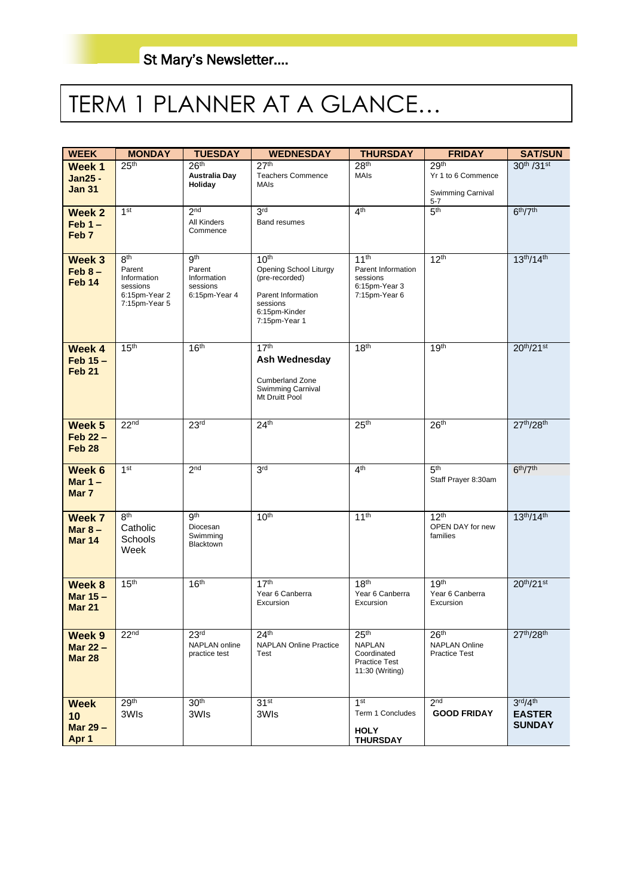# TERM 1 PLANNER AT A GLANCE…

| <b>WEEK</b>                     | <b>MONDAY</b>               | <b>TUESDAY</b>                           | <b>WEDNESDAY</b>                             | <b>THURSDAY</b>                         | <b>FRIDAY</b>                                | <b>SAT/SUN</b>                   |
|---------------------------------|-----------------------------|------------------------------------------|----------------------------------------------|-----------------------------------------|----------------------------------------------|----------------------------------|
| Week 1                          | 25 <sup>th</sup>            | 26 <sup>th</sup><br><b>Australia Day</b> | 27 <sup>th</sup><br><b>Teachers Commence</b> | 28 <sup>th</sup><br>MAIs                | 29th<br>Yr 1 to 6 Commence                   | 30th /31st                       |
| <b>Jan25 -</b><br><b>Jan 31</b> |                             | Holiday                                  | <b>MAIs</b>                                  |                                         | Swimming Carnival                            |                                  |
|                                 |                             |                                          |                                              |                                         | $5 - 7$                                      |                                  |
| Week 2<br>$Feb 1 -$             | 1 <sup>st</sup>             | 2 <sub>nd</sub><br><b>All Kinders</b>    | 3 <sup>rd</sup><br><b>Band resumes</b>       | 4 <sup>th</sup>                         | 5 <sup>th</sup>                              | 6 <sup>th</sup> /7 <sup>th</sup> |
| Feb <sub>7</sub>                |                             | Commence                                 |                                              |                                         |                                              |                                  |
|                                 |                             |                                          |                                              |                                         |                                              |                                  |
| Week 3                          | 8 <sup>th</sup><br>Parent   | 9 <sup>th</sup><br>Parent                | 10 <sup>th</sup><br>Opening School Liturgy   | 11 <sup>th</sup><br>Parent Information  | 12 <sup>th</sup>                             | $13^{th}/14^{th}$                |
| $Feb 8 -$<br>Feb <sub>14</sub>  | Information<br>sessions     | Information<br>sessions                  | (pre-recorded)                               | sessions<br>6:15pm-Year 3               |                                              |                                  |
|                                 | 6:15pm-Year 2               | 6:15pm-Year 4                            | Parent Information                           | 7:15pm-Year 6                           |                                              |                                  |
|                                 | 7:15pm-Year 5               |                                          | sessions<br>6:15pm-Kinder                    |                                         |                                              |                                  |
|                                 |                             |                                          | 7:15pm-Year 1                                |                                         |                                              |                                  |
| Week 4                          | 15 <sup>th</sup>            | 16 <sup>th</sup>                         | 17 <sup>th</sup>                             | 18 <sup>th</sup>                        | 19 <sup>th</sup>                             | 20th/21st                        |
| $Feb 15 -$                      |                             |                                          | Ash Wednesday                                |                                         |                                              |                                  |
| Feb <sub>21</sub>               |                             |                                          | <b>Cumberland Zone</b>                       |                                         |                                              |                                  |
|                                 |                             |                                          | <b>Swimming Carnival</b><br>Mt Druitt Pool   |                                         |                                              |                                  |
|                                 |                             |                                          |                                              |                                         |                                              |                                  |
| Week 5                          | 22 <sup>nd</sup>            | 23 <sup>rd</sup>                         | 24 <sup>th</sup>                             | 25 <sup>th</sup>                        | 26 <sup>th</sup>                             | 27th/28th                        |
| $Feb 22 -$                      |                             |                                          |                                              |                                         |                                              |                                  |
| Feb <sub>28</sub>               |                             |                                          |                                              |                                         |                                              |                                  |
| Week 6                          | 1 <sup>st</sup>             | 2 <sub>nd</sub>                          | 3 <sup>rd</sup>                              | 4 <sup>th</sup>                         | 5 <sup>th</sup>                              | 6 <sup>th</sup> /7 <sup>th</sup> |
| Mar $1 -$<br>Mar 7              |                             |                                          |                                              |                                         | Staff Prayer 8:30am                          |                                  |
|                                 |                             |                                          |                                              |                                         |                                              |                                  |
| Week 7                          | 8 <sup>th</sup><br>Catholic | gth<br>Diocesan                          | 10 <sup>th</sup>                             | 11 <sup>th</sup>                        | 12 <sup>th</sup><br>OPEN DAY for new         | $13^{th}/14^{th}$                |
| Mar $8-$<br><b>Mar 14</b>       | Schools                     | Swimming                                 |                                              |                                         | families                                     |                                  |
|                                 | Week                        | Blacktown                                |                                              |                                         |                                              |                                  |
|                                 |                             |                                          |                                              |                                         |                                              |                                  |
| Week 8                          | 15 <sup>th</sup>            | 16 <sup>th</sup>                         | 17 <sup>th</sup>                             | 18 <sup>th</sup>                        | 19 <sup>th</sup>                             | $20^{th}/21^{st}$                |
| Mar $15 -$<br><b>Mar 21</b>     |                             |                                          | Year 6 Canberra<br>Excursion                 | Year 6 Canberra<br>Excursion            | Year 6 Canberra<br>Excursion                 |                                  |
|                                 |                             |                                          |                                              |                                         |                                              |                                  |
| Week 9                          | 22 <sup>nd</sup>            | 23 <sup>rd</sup>                         | 24 <sup>th</sup>                             | 25 <sup>th</sup>                        | 26 <sup>th</sup>                             | 27th/28th                        |
| Mar $22 -$                      |                             | NAPLAN online<br>practice test           | <b>NAPLAN Online Practice</b><br>Test        | <b>NAPLAN</b><br>Coordinated            | <b>NAPLAN Online</b><br><b>Practice Test</b> |                                  |
| <b>Mar 28</b>                   |                             |                                          |                                              | <b>Practice Test</b><br>11:30 (Writing) |                                              |                                  |
|                                 |                             |                                          |                                              |                                         |                                              |                                  |
| <b>Week</b>                     | 29 <sup>th</sup>            | 30 <sup>th</sup>                         | 31 <sup>st</sup>                             | 1 <sup>st</sup>                         | 2 <sub>nd</sub>                              | 3 <sup>rd</sup> /4 <sup>th</sup> |
| 10                              | 3WIs                        | 3WIs                                     | 3WIs                                         | Term 1 Concludes                        | <b>GOOD FRIDAY</b>                           | <b>EASTER</b>                    |
| Mar $29 -$                      |                             |                                          |                                              | <b>HOLY</b>                             |                                              | <b>SUNDAY</b>                    |
| Apr 1                           |                             |                                          |                                              | <b>THURSDAY</b>                         |                                              |                                  |